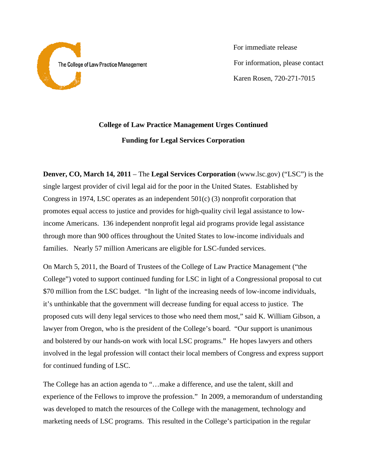

 For immediate release For information, please contact Karen Rosen, 720-271-7015

## **College of Law Practice Management Urges Continued Funding for Legal Services Corporation**

**Denver, CO, March 14, 2011** – The **Legal Services Corporation** (www.lsc.gov) ("LSC") is the single largest provider of civil legal aid for the poor in the United States. Established by Congress in 1974, LSC operates as an independent 501(c) (3) nonprofit corporation that promotes equal access to justice and provides for high-quality civil legal assistance to lowincome Americans. 136 independent nonprofit legal aid programs provide legal assistance through more than 900 offices throughout the United States to low-income individuals and families. Nearly 57 million Americans are eligible for LSC-funded services.

On March 5, 2011, the Board of Trustees of the College of Law Practice Management ("the College") voted to support continued funding for LSC in light of a Congressional proposal to cut \$70 million from the LSC budget. "In light of the increasing needs of low-income individuals, it's unthinkable that the government will decrease funding for equal access to justice. The proposed cuts will deny legal services to those who need them most," said K. William Gibson, a lawyer from Oregon, who is the president of the College's board. "Our support is unanimous and bolstered by our hands-on work with local LSC programs." He hopes lawyers and others involved in the legal profession will contact their local members of Congress and express support for continued funding of LSC.

The College has an action agenda to "…make a difference, and use the talent, skill and experience of the Fellows to improve the profession." In 2009, a memorandum of understanding was developed to match the resources of the College with the management, technology and marketing needs of LSC programs. This resulted in the College's participation in the regular